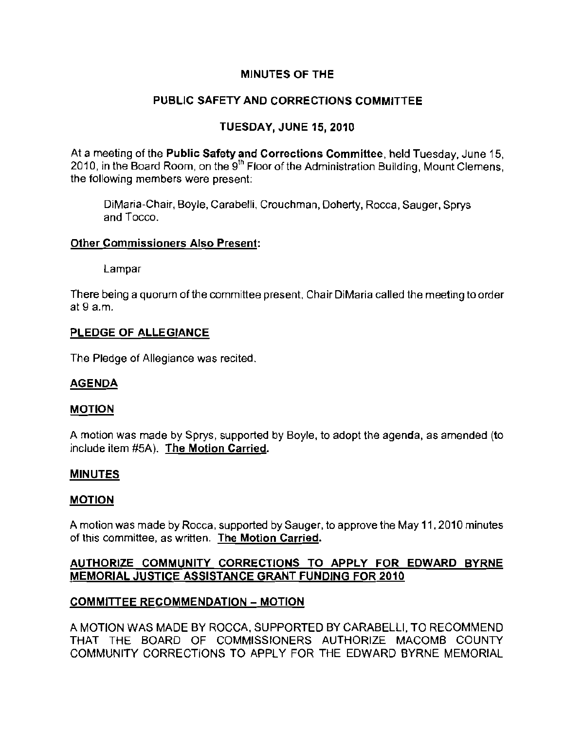# MINUTES OF THE

# PUBLIC SAFETY AND CORRECTIONS COMMITTEE

# TUESDAY, JUNE 15, 2010

At a meeting of the Public Safety and Corrections Committee, held Tuesday, June 15, 2010, in the Board Room, on the 9<sup>th</sup> Floor of the Administration Building, Mount Clemens, **the following members were present:** 

DiMaria-Chair, Boyle, Carabelli, Crouchman, Doherty, Rocca, Sauger, Sprys and Tocco.

#### other Commissioners Also Present:

Lampar

There being a quorum of the committee present, Chair DiMaria called the meeting to order at 9 a.m.

#### PLEDGE OF ALLEGIANCE

The Pledge of Allegiance was recited.

## AGENDA

#### MOTION

A motion was made by Sprys, supported by Boyle, to adopt the agenda, as amended (to include item #5A). The Motion Carried.

## MINUTES

#### MOTION

A motion was made by Rocca, supported by Sauger, to approve the May 11, 2010 minutes **of this committee, as written. The Motion Carried.** 

## AUTHORIZE COMMUNITY CORRECTIONS TO APPLY FOR EDWARD BYRNE MEMORIAL JUSTICE ASSISTANCE GRANT FUNDING FOR 2010

## COMMITTEE RECOMMENDATION - MOTION

A MOTION WAS MADE BY ROCCA, SUPPORTED BY CARABELL!, TO RECOMMEND THAT THE BOARD OF COMMISSIONERS AUTHORIZE MACOMB COUNTY COMMUNITY CORRECTIONS TO APPLY FOR THE EDWARD BYRNE MEMORIAL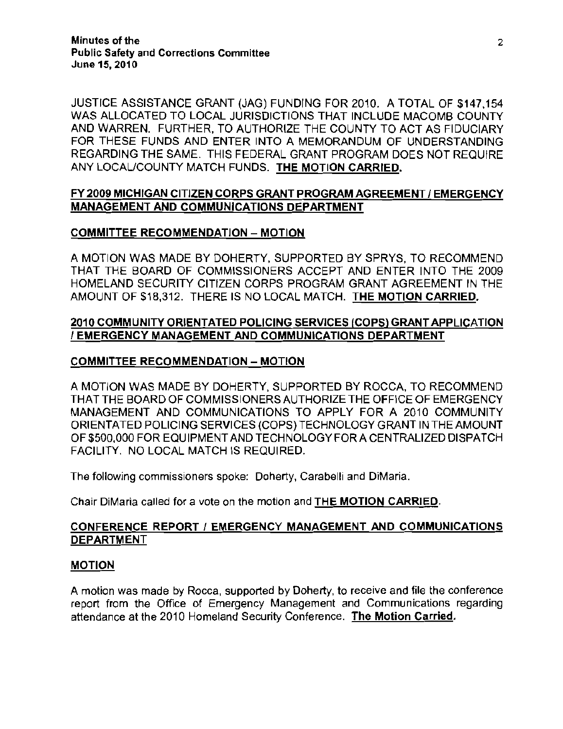JUSTICE ASSISTANCE GRANT (JAG) FUNDING FOR 2010. A TOTAL OF \$147,154 WAS ALLOCATED TO LOCAL JURISDICTIONS THAT INCLUDE MACOMB COUNTY AND WARREN. FURTHER, TO AUTHORIZE THE COUNTY TO ACT AS FIDUCIARY FOR THESE FUNDS AND ENTER INTO A MEMORANDUM OF UNDERSTANDING REGARDING THE SAME. THIS FEDERAL GRANT PROGRAM DOES NOT REQUIRE ANY LOCAL/COUNTY MATCH FUNDS. THE MOTION CARRIED.

# FY 2009 MICHIGAN CITIZEN CORPS GRANT PROGRAM AGREEMENT / EMERGENCY MANAGEMENT AND COMMUNICATIONS DEPARTMENT

## COMMITTEE RECOMMENDATION - MOTION

A MOTION WAS MADE BY DOHERTY, SUPPORTED BY SPRYS, TO RECOMMEND THAT THE BOARD OF COMMISSIONERS ACCEPT AND ENTER INTO THE 2009 HOMELAND SECURITY CITIZEN CORPS PROGRAM GRANT AGREEMENT IN THE AMOUNT OF \$18,312. THERE IS NO LOCAL MATCH. THE MOTION CARRIED.

## 2010 COMMUNITY ORIENTATED POLICING SERVICES (COPS) GRANT APPLICATION / EMERGENCY MANAGEMENT AND COMMUNICATIONS DEPARTMENT

## COMMITTEE RECOMMENDATION - MOTION

A MOTION WAS MADE BY DOHERTY, SUPPORTED BY ROCCA, TO RECOMMEND THAT THE BOARD OF COMMISSIONERS AUTHORIZE THE OFFICE OF EMERGENCY MANAGEMENT AND COMMUNICATIONS TO APPLY FOR A 2010 COMMUNITY ORIENTATED POLICING SERVICES (COPS) TECHNOLOGY GRANT IN THE AMOUNT OF \$500,000 FOR EQUIPMENT AND TECHNOLOGY FOR A CENTRALIZED DISPATCH FACILITY. NO LOCAL MATCH IS REQUIRED.

The following commissioners spoke: Doherty, Carabelli and DiMaria.

Chair DiMaria called for a vote on the motion and THE MOTION CARRIED.

#### CONFERENCE REPORT / EMERGENCY MANAGEMENT AND COMMUNICATIONS DEPARTMENT

#### MOTION

A motion was made by Rocca, supported by Doherty, to receive and file the conference report from the Office of Emergency Management and Communications regarding attendance at the 2010 Homeland Security Conference. The Motion Carried.